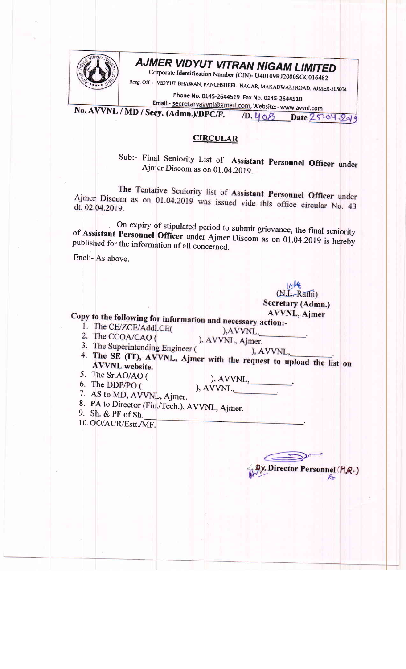

## AJMER VIDYUT VITRAN NIGAM LIMITED

Corporate Identification Number (CIN)- U40109RJ2000SGC016482

Resg. Off. :- VIDYUT BHAWAN, PANCHSHEEL NAGAR, MAKADWALI ROAD, AJMER-305004

Phone No. 0145-2644519 Fax No. 0145-2644518

Email:- secretaryavvnl@gmail.com, Website:- www.avvnl.com No. AVVNL / MD / Secy. (Admn.)/DPC/F.  $1D.408$ Date 25.04.2019

## **CIRCULAR**

Sub:- Final Seniority List of Assistant Personnel Officer under Ajmer Discom as on 01.04.2019.

The Tentative Seniority list of Assistant Personnel Officer under Ajmer Discom as on 01.04.2019 was issued vide this office circular No. 43 dt. 02.04.2019.

On expiry of stipulated period to submit grievance, the final seniority of Assistant Personnel Officer under Ajmer Discom as on 01.04.2019 is hereby published for the information of all concerned.

Encl:- As above.

-Rathi) Secretary (Admn.)

**AVVNL, Ajmer** 

Director Personnel (HQ.)

Copy to the following for information and necessary action:-

- 1. The CE/ZCE/Addl.CE(
- ), AVVNL, 2. The CCOA/CAO ( ), AVVNL, Ajmer.
- 3. The Superintending Engineer (
- ), AVVNL, 4. The SE (IT), AVVNL, Ajmer with the request to upload the list on **AVVNL** website.

- 5. The Sr.AO/AO (
- 6. The DDP/PO (

7. AS to MD, AVVNL, Ajmer.

- 8. PA to Director (Fin./Tech.), AVVNL, Ajmer.
- 9. Sh. & PF of Sh.
- 10. OO/ACR/Estt./MF.